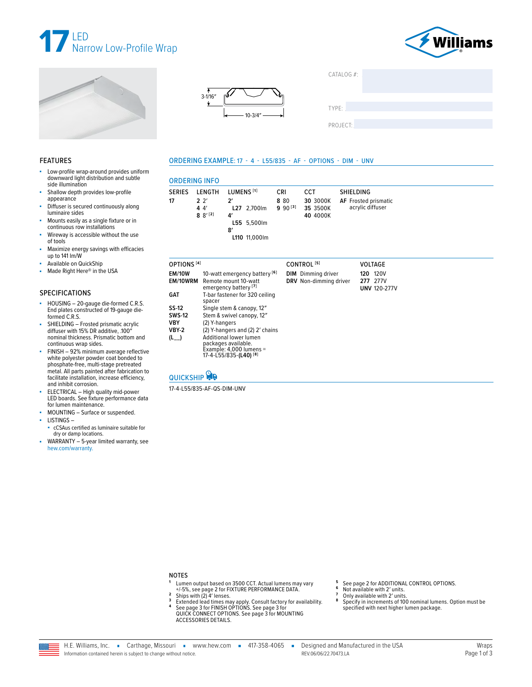







| CATALOG $#$ : |  |
|---------------|--|
|               |  |
|               |  |

TYPE:

PROJECT:

#### **FEATURES**

- Low-profile wrap-around provides uniform downward light distribution and subtle side illumination
- Shallow depth provides low-profile appearance
- Diffuser is secured continuously along ۸ luminaire sides
- Mounts easily as a single fixture or in<br>continuous row installations
- Wireway is accessible without the use ×. of tools
- ×. Maximize energy savings with efficacies up to 141 lm/W
- Available on QuickShip
- Made Right Here® in the USA ×.

#### **SPECIFICATIONS**

- HOUSING 20-gauge die-formed C.R.S.<br>End plates constructed of 19-gauge dieà. formed C.R.S.
- SHIELDING Frosted prismatic acrylic<br>diffuser with 15% DR additive, .100"<br>nominal thickness. Prismatic bottom and continuous wrap sides.
- FINISH 92% minimum average reflective ä, white polyester powder coat bonded to<br>phosphate-free, multi-stage pretreated metal. All parts painted after fabrication to facilitate installation, increase efficiency, and inhibit corrosion.
- ELECTRICAL High quality mid-power LED boards. See fixture performance data for lumen maintenance.
- MOUNTING Surface or suspended.
- LISTINGS-
- cCSAus certified as luminaire suitable for dry or damp locations.
- WARRANTY 5-year limited warranty, see hew.com/warranty.

# ORDERING EXAMPLE: 17 - 4 - L55/835 - AF - OPTIONS - DIM - UNV

| <b>ORDERING INFO</b> |                                          |                                                                                                  |                                    |                                         |                                                                     |  |
|----------------------|------------------------------------------|--------------------------------------------------------------------------------------------------|------------------------------------|-----------------------------------------|---------------------------------------------------------------------|--|
| <b>SERIES</b><br>17  | LENGTH<br>$2^{2}$<br>44'<br>$8^{9^{12}}$ | LUMENS <sup>[1]</sup><br>$2^{\prime}$<br>L27 2,700lm<br>4'<br>L55 5,500lm<br>8'<br>L110 11,000lm | <b>CRI</b><br>8 8 0<br>$990^{[3]}$ | CCT<br>30 3000K<br>35 3500K<br>40 4000K | <b>SHIELDING</b><br><b>AF</b> Frosted prismatic<br>acrylic diffuser |  |

| OPTIONS <sup>[4]</sup>                                             |                                                                                                                                                                                                                               | CONTROL <sup>[5]</sup>                              | <b>VOLTAGE</b>                                 |
|--------------------------------------------------------------------|-------------------------------------------------------------------------------------------------------------------------------------------------------------------------------------------------------------------------------|-----------------------------------------------------|------------------------------------------------|
| <b>EM/10W</b><br>EM/10WRM                                          | 10-watt emergency battery <sup>[6]</sup><br>Remote mount 10-watt<br>emergency battery <sup>[7]</sup>                                                                                                                          | <b>DIM</b> Dimming driver<br>DRV Non-dimming driver | 120V<br>120<br>277 277V<br><b>UNV 120-277V</b> |
| <b>GAT</b>                                                         | T-bar fastener for 320 ceiling<br>spacer                                                                                                                                                                                      |                                                     |                                                |
| SS-12<br><b>SWS-12</b><br><b>VBY</b><br><b>VBY-2</b><br>$(L_{--})$ | Single stem & canopy, 12"<br>Stem & swivel canopy, 12"<br>(2) Y-hangers<br>(2) Y-hangers and (2) 2' chains<br>Additional lower lumen<br>packages available.<br>Example: $4,000$ lumens =<br>17-4-L55/835-(L40) <sup>[8]</sup> |                                                     |                                                |

## **QUICKSHIP**

17-4-L55/835-AF-QS-DIM-UNV



- 1 Lumen output based on 3500 CCT. Actual lumens may vary<br>+/-5%, see page 2 for FIXTURE PERFORMANCE DATA.<br>2 Ships with (2) 4' lenses.
- $\mathbf 3$
- Support (2) The Extended lead times may apply. Consult factory for availability.<br>See page 3 for FINISH OPTIONS. See page 3 for<br>QUICK CONNECT OPTIONS. See page 3 for MOUNTING  $\overline{4}$ **ACCESSORIES DETAILS**
- See page 2 for ADDITIONAL CONTROL OPTIONS. 5  $\bf 6$ Not available with 2' units.
- $\overline{7}$ Only available with 2' units.
- 8
	- Specify in increments of 100 nominal lumens. Option must be specified with next higher lumen package.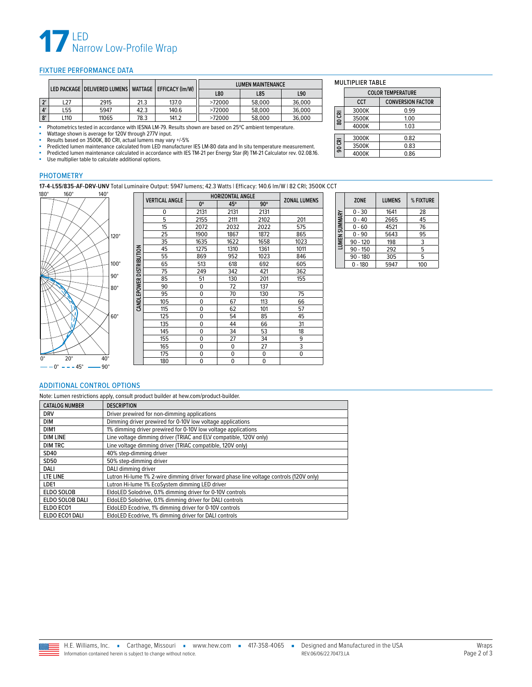

#### <span id="page-1-0"></span>FIXTURE PERFORMANCE DATA

|                    | LED PACKAGE   DELIVERED LUMENS   WATTAGE   EFFICACY (Im/W) |       |      |       | <b>LUMEN MAINTENANCE</b> |        |        |
|--------------------|------------------------------------------------------------|-------|------|-------|--------------------------|--------|--------|
|                    |                                                            |       |      |       | L80                      | L85    | L90    |
| $\mathbf{v}$       | $-27$                                                      | 2915  | 21.3 | 137.0 | >72000                   | 58.000 | 36,000 |
| $\Lambda^{\prime}$ | L55                                                        | 5947  | 42.3 | 140.6 | >72000                   | 58.000 | 36,000 |
| 8'                 | L110                                                       | 11065 | 78.3 | 141.2 | >72000                   | 58.000 | 36,000 |

■ Photometrics tested in accordance with IESNA LM-79. Results shown are based on 25ºC ambient temperature.

■ Wattage shown is average for 120V through 277V input.<br>■ Results based on 3500K, 80 CRI, actual lumens may vary +/-5%

■ Predicted lumen maintenance calculated from LED manufacturer IES LM-80 data and In situ temperature measurement.<br>■ Predicted lumen maintenance calculated in accordance with IES TM-21 per Energy Star (P) TM-21 Calculater

Predicted lumen maintenance calculated in accordance with IES TM-21 per Energy Star (R) TM-21 Calculator rev. 02.08.16.<br>- Ilse multiplier table to calculate additional options

Use multiplier table to calculate additional options.

#### PHOTOMETRY

**17-4-L55/835-AF-DRV-UNV** Total Luminaire Output: 5947 lumens; 42.3 Watts | Efficacy: 140.6 lm/W | 82 CRI; 3500K CCT<br>160° 140° **140° | Elemental Anglie | Elemental Anglie | Elemental Anglie | Elemental Anglie | Elemental A** 



|                     |                       | <b>HORIZONTAL ANGLE</b> |      |            |                     |
|---------------------|-----------------------|-------------------------|------|------------|---------------------|
|                     | <b>VERTICAL ANGLE</b> | 0°                      | 45°  | $90^\circ$ | <b>ZONAL LUMENS</b> |
|                     | 0                     | 2131                    | 2131 | 2131       |                     |
|                     | 5                     | 2155                    | 2111 | 2102       | 201                 |
|                     | 15                    | 2072                    | 2032 | 2022       | 575                 |
|                     | 25                    | 1900                    | 1867 | 1872       | 865                 |
|                     | 35                    | 1635                    | 1622 | 1658       | 1023                |
|                     | 45                    | 1275                    | 1310 | 1361       | 1011                |
|                     | 55                    | 869                     | 952  | 1023       | 846                 |
| <b>DISTRIBUTION</b> | 65                    | 513                     | 618  | 692        | 605                 |
|                     | 75                    | 249                     | 342  | 421        | 362                 |
|                     | 85                    | 51                      | 130  | 201        | 155                 |
|                     | 90                    | 0                       | 72   | 137        |                     |
| <b>CANDLEPOWER</b>  | 95                    | 0                       | 70   | 130        | 75                  |
|                     | 105                   | 0                       | 67   | 113        | 66                  |
|                     | 115                   | 0                       | 62   | 101        | 57                  |
|                     | 125                   | 0                       | 54   | 85         | 45                  |
|                     | 135                   | 0                       | 44   | 66         | 31                  |
|                     | 145                   | $\mathbf 0$             | 34   | 53         | 18                  |
|                     | 155                   | 0                       | 27   | 34         | 9                   |
|                     | 165                   | 0                       | 0    | 27         |                     |
|                     | 175                   | 0                       | 0    | 0          | 0                   |
|                     | 180                   | 0                       | 0    | 0          |                     |

|               | <b>ZONE</b> | <b>LUMENS</b> | % FIXTURE |
|---------------|-------------|---------------|-----------|
|               | $0 - 30$    | 1641          | 28        |
|               | $0 - 40$    | 2665          | 45        |
| LUMEN SUMMARY | $0 - 60$    | 4521          | 76        |
|               | $0 - 90$    | 5643          | 95        |
|               | $90 - 120$  | 198           | 3         |
|               | $90 - 150$  | 292           | 5         |
|               | $90 - 180$  | 305           | 5         |
|               | $-180$<br>0 | 5947          | 100       |

**COLOR TEMPERATURE CCT CONVERSION FACTOR**<br>**COOOK** 0.99

3000K 0.99<br>3500K 1.00 3500K 1.00<br>4000K 1.03

3000K 0.82 3500K 0.83<br>4000K 0.86

MULTIPLIER TABLE

4000K

 $4000K$ 

**80 CRI**

**90 CRI**

 $-0^{\circ}$  - - - 45° -- 90°

#### <span id="page-1-1"></span>ADDITIONAL CONTROL OPTIONS

Note: Lumen restrictions apply, consult product builder at hew.com/product-builder.

| <b>CATALOG NUMBER</b> | <b>DESCRIPTION</b>                                                                      |
|-----------------------|-----------------------------------------------------------------------------------------|
| <b>DRV</b>            | Driver prewired for non-dimming applications                                            |
| <b>DIM</b>            | Dimming driver prewired for 0-10V low voltage applications                              |
| DIM1                  | 1% dimming driver prewired for 0-10V low voltage applications                           |
| <b>DIM LINE</b>       | Line voltage dimming driver (TRIAC and ELV compatible, 120V only)                       |
| <b>DIM TRC</b>        | Line voltage dimming driver (TRIAC compatible, 120V only)                               |
| SD40                  | 40% step-dimming driver                                                                 |
| SD50                  | 50% step-dimming driver                                                                 |
| DALI                  | DALI dimming driver                                                                     |
| LTE LINE              | Lutron Hi-lume 1% 2-wire dimming driver forward phase line voltage controls (120V only) |
| LDE1                  | Lutron Hi-lume 1% EcoSystem dimming LED driver                                          |
| <b>ELDO SOLOB</b>     | EldoLED Solodrive, 0.1% dimming driver for 0-10V controls                               |
| ELDO SOLOB DALI       | EldoLED Solodrive, 0.1% dimming driver for DALI controls                                |
| ELDO ECO1             | EldoLED Ecodrive, 1% dimming driver for 0-10V controls                                  |
| ELDO ECO1 DALI        | EldoLED Ecodrive, 1% dimming driver for DALI controls                                   |